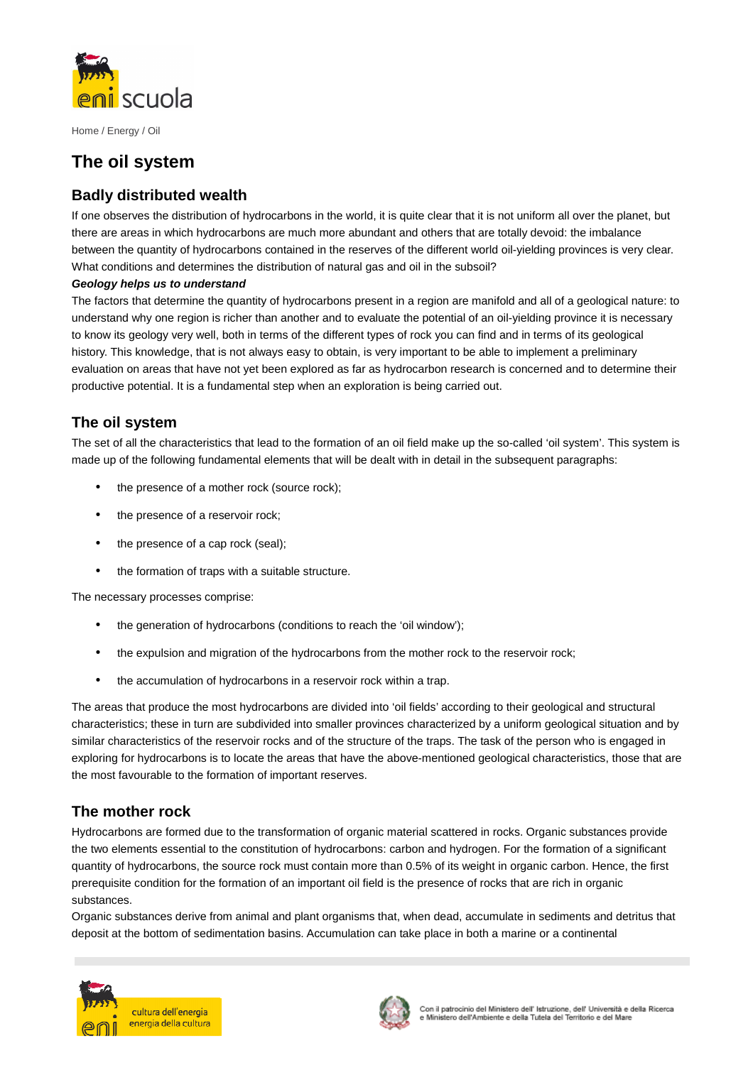

# **The oil system**

### **Badly distributed wealth**

If one observes the distribution of hydrocarbons in the world, it is quite clear that it is not uniform all over the planet, but there are areas in which hydrocarbons are much more abundant and others that are totally devoid: the imbalance between the quantity of hydrocarbons contained in the reserves of the different world oil-yielding provinces is very clear. What conditions and determines the distribution of natural gas and oil in the subsoil?

#### **Geology helps us to understand**

The factors that determine the quantity of hydrocarbons present in a region are manifold and all of a geological nature: to understand why one region is richer than another and to evaluate the potential of an oil-yielding province it is necessary to know its geology very well, both in terms of the different types of rock you can find and in terms of its geological history. This knowledge, that is not always easy to obtain, is very important to be able to implement a preliminary evaluation on areas that have not yet been explored as far as hydrocarbon research is concerned and to determine their productive potential. It is a fundamental step when an exploration is being carried out.

### **The oil system**

The set of all the characteristics that lead to the formation of an oil field make up the so-called 'oil system'. This system is made up of the following fundamental elements that will be dealt with in detail in the subsequent paragraphs:

- the presence of a mother rock (source rock);
- the presence of a reservoir rock;
- the presence of a cap rock (seal);
- the formation of traps with a suitable structure.

The necessary processes comprise:

- the generation of hydrocarbons (conditions to reach the 'oil window');
- the expulsion and migration of the hydrocarbons from the mother rock to the reservoir rock;
- the accumulation of hydrocarbons in a reservoir rock within a trap.

The areas that produce the most hydrocarbons are divided into 'oil fields' according to their geological and structural characteristics; these in turn are subdivided into smaller provinces characterized by a uniform geological situation and by similar characteristics of the reservoir rocks and of the structure of the traps. The task of the person who is engaged in exploring for hydrocarbons is to locate the areas that have the above-mentioned geological characteristics, those that are the most favourable to the formation of important reserves.

### **The mother rock**

Hydrocarbons are formed due to the transformation of organic material scattered in rocks. Organic substances provide the two elements essential to the constitution of hydrocarbons: carbon and hydrogen. For the formation of a significant quantity of hydrocarbons, the source rock must contain more than 0.5% of its weight in organic carbon. Hence, the first prerequisite condition for the formation of an important oil field is the presence of rocks that are rich in organic substances.

Organic substances derive from animal and plant organisms that, when dead, accumulate in sediments and detritus that deposit at the bottom of sedimentation basins. Accumulation can take place in both a marine or a continental



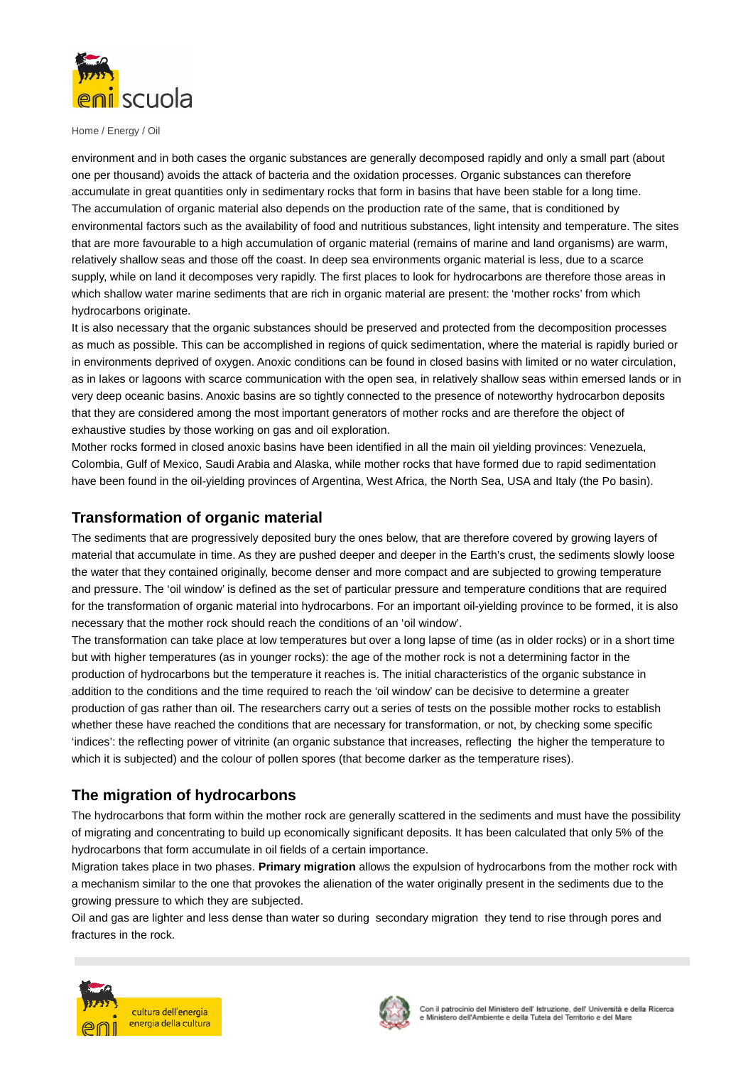

environment and in both cases the organic substances are generally decomposed rapidly and only a small part (about one per thousand) avoids the attack of bacteria and the oxidation processes. Organic substances can therefore accumulate in great quantities only in sedimentary rocks that form in basins that have been stable for a long time. The accumulation of organic material also depends on the production rate of the same, that is conditioned by environmental factors such as the availability of food and nutritious substances, light intensity and temperature. The sites that are more favourable to a high accumulation of organic material (remains of marine and land organisms) are warm, relatively shallow seas and those off the coast. In deep sea environments organic material is less, due to a scarce supply, while on land it decomposes very rapidly. The first places to look for hydrocarbons are therefore those areas in which shallow water marine sediments that are rich in organic material are present: the 'mother rocks' from which hydrocarbons originate.

It is also necessary that the organic substances should be preserved and protected from the decomposition processes as much as possible. This can be accomplished in regions of quick sedimentation, where the material is rapidly buried or in environments deprived of oxygen. Anoxic conditions can be found in closed basins with limited or no water circulation, as in lakes or lagoons with scarce communication with the open sea, in relatively shallow seas within emersed lands or in very deep oceanic basins. Anoxic basins are so tightly connected to the presence of noteworthy hydrocarbon deposits that they are considered among the most important generators of mother rocks and are therefore the object of exhaustive studies by those working on gas and oil exploration.

Mother rocks formed in closed anoxic basins have been identified in all the main oil yielding provinces: Venezuela, Colombia, Gulf of Mexico, Saudi Arabia and Alaska, while mother rocks that have formed due to rapid sedimentation have been found in the oil-yielding provinces of Argentina, West Africa, the North Sea, USA and Italy (the Po basin).

### **Transformation of organic material**

The sediments that are progressively deposited bury the ones below, that are therefore covered by growing layers of material that accumulate in time. As they are pushed deeper and deeper in the Earth's crust, the sediments slowly loose the water that they contained originally, become denser and more compact and are subjected to growing temperature and pressure. The 'oil window' is defined as the set of particular pressure and temperature conditions that are required for the transformation of organic material into hydrocarbons. For an important oil-yielding province to be formed, it is also necessary that the mother rock should reach the conditions of an 'oil window'.

The transformation can take place at low temperatures but over a long lapse of time (as in older rocks) or in a short time but with higher temperatures (as in younger rocks): the age of the mother rock is not a determining factor in the production of hydrocarbons but the temperature it reaches is. The initial characteristics of the organic substance in addition to the conditions and the time required to reach the 'oil window' can be decisive to determine a greater production of gas rather than oil. The researchers carry out a series of tests on the possible mother rocks to establish whether these have reached the conditions that are necessary for transformation, or not, by checking some specific 'indices': the reflecting power of vitrinite (an organic substance that increases, reflecting the higher the temperature to which it is subjected) and the colour of pollen spores (that become darker as the temperature rises).

### **The migration of hydrocarbons**

The hydrocarbons that form within the mother rock are generally scattered in the sediments and must have the possibility of migrating and concentrating to build up economically significant deposits. It has been calculated that only 5% of the hydrocarbons that form accumulate in oil fields of a certain importance.

Migration takes place in two phases. **Primary migration** allows the expulsion of hydrocarbons from the mother rock with a mechanism similar to the one that provokes the alienation of the water originally present in the sediments due to the growing pressure to which they are subjected.

Oil and gas are lighter and less dense than water so during secondary migration they tend to rise through pores and fractures in the rock.



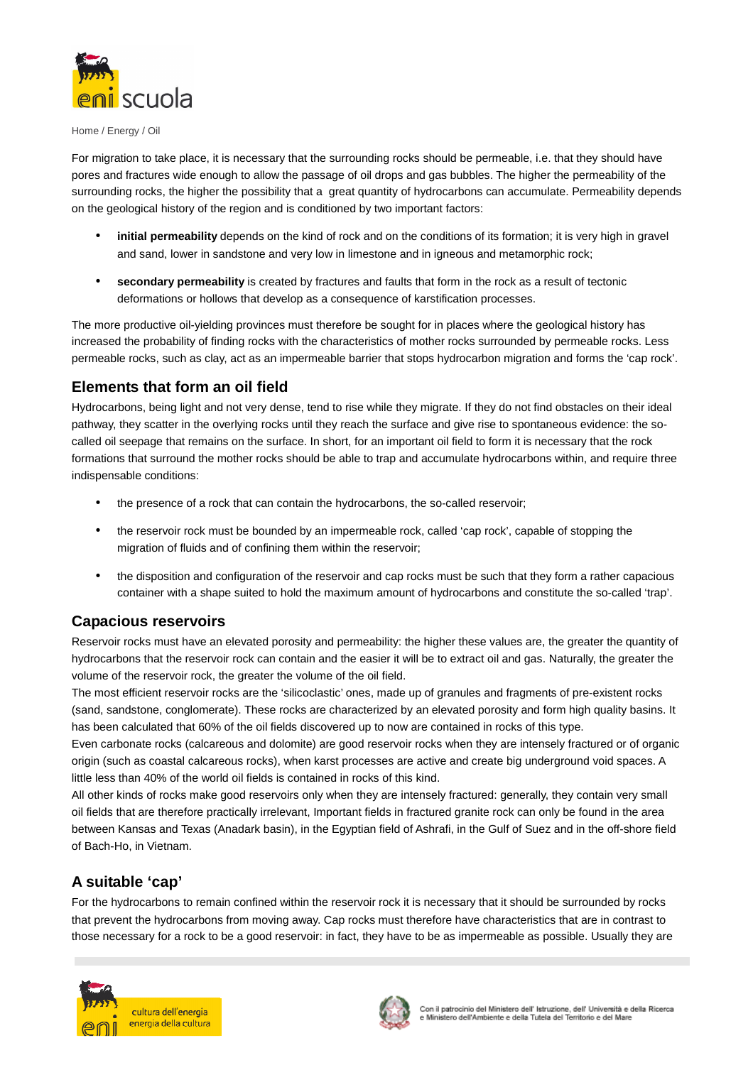

For migration to take place, it is necessary that the surrounding rocks should be permeable, i.e. that they should have pores and fractures wide enough to allow the passage of oil drops and gas bubbles. The higher the permeability of the surrounding rocks, the higher the possibility that a great quantity of hydrocarbons can accumulate. Permeability depends on the geological history of the region and is conditioned by two important factors:

- **initial permeability** depends on the kind of rock and on the conditions of its formation; it is very high in gravel and sand, lower in sandstone and very low in limestone and in igneous and metamorphic rock;
- **secondary permeability** is created by fractures and faults that form in the rock as a result of tectonic deformations or hollows that develop as a consequence of karstification processes.

The more productive oil-yielding provinces must therefore be sought for in places where the geological history has increased the probability of finding rocks with the characteristics of mother rocks surrounded by permeable rocks. Less permeable rocks, such as clay, act as an impermeable barrier that stops hydrocarbon migration and forms the 'cap rock'.

## **Elements that form an oil field**

Hydrocarbons, being light and not very dense, tend to rise while they migrate. If they do not find obstacles on their ideal pathway, they scatter in the overlying rocks until they reach the surface and give rise to spontaneous evidence: the socalled oil seepage that remains on the surface. In short, for an important oil field to form it is necessary that the rock formations that surround the mother rocks should be able to trap and accumulate hydrocarbons within, and require three indispensable conditions:

- the presence of a rock that can contain the hydrocarbons, the so-called reservoir;
- the reservoir rock must be bounded by an impermeable rock, called 'cap rock', capable of stopping the migration of fluids and of confining them within the reservoir;
- the disposition and configuration of the reservoir and cap rocks must be such that they form a rather capacious container with a shape suited to hold the maximum amount of hydrocarbons and constitute the so-called 'trap'.

#### **Capacious reservoirs**

Reservoir rocks must have an elevated porosity and permeability: the higher these values are, the greater the quantity of hydrocarbons that the reservoir rock can contain and the easier it will be to extract oil and gas. Naturally, the greater the volume of the reservoir rock, the greater the volume of the oil field.

The most efficient reservoir rocks are the 'silicoclastic' ones, made up of granules and fragments of pre-existent rocks (sand, sandstone, conglomerate). These rocks are characterized by an elevated porosity and form high quality basins. It has been calculated that 60% of the oil fields discovered up to now are contained in rocks of this type.

Even carbonate rocks (calcareous and dolomite) are good reservoir rocks when they are intensely fractured or of organic origin (such as coastal calcareous rocks), when karst processes are active and create big underground void spaces. A little less than 40% of the world oil fields is contained in rocks of this kind.

All other kinds of rocks make good reservoirs only when they are intensely fractured: generally, they contain very small oil fields that are therefore practically irrelevant, Important fields in fractured granite rock can only be found in the area between Kansas and Texas (Anadark basin), in the Egyptian field of Ashrafi, in the Gulf of Suez and in the off-shore field of Bach-Ho, in Vietnam.

# **A suitable 'cap'**

For the hydrocarbons to remain confined within the reservoir rock it is necessary that it should be surrounded by rocks that prevent the hydrocarbons from moving away. Cap rocks must therefore have characteristics that are in contrast to those necessary for a rock to be a good reservoir: in fact, they have to be as impermeable as possible. Usually they are